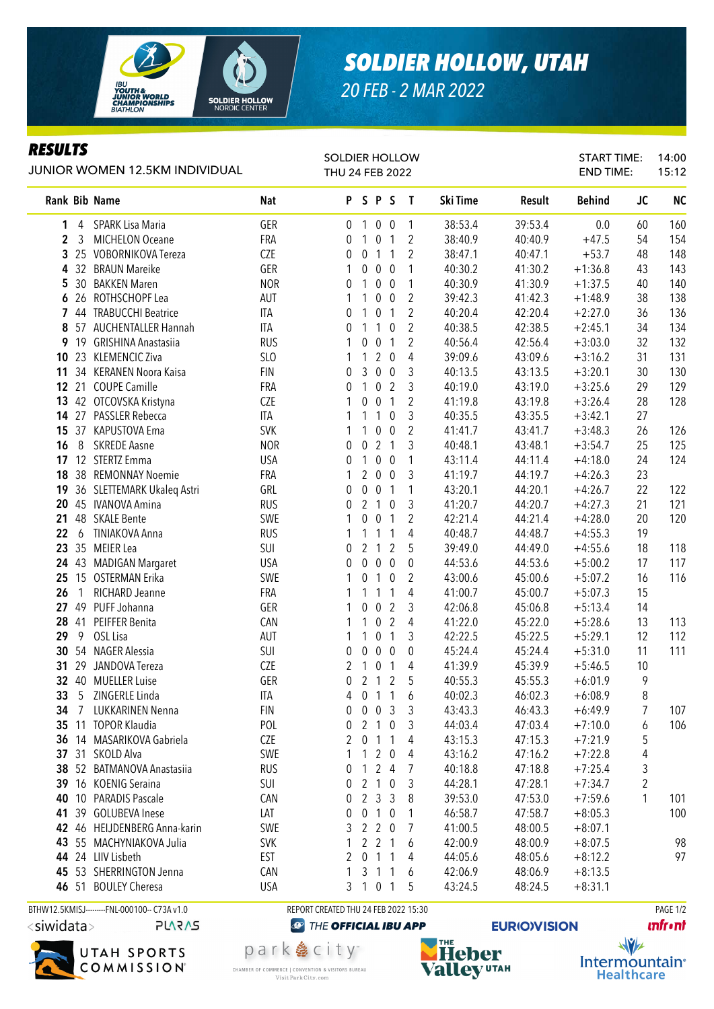

## **SOLDIER HOLLOW, UTAH**

20 FEB - 2 MAR 2022

## **RESULTS**

| JUNIOR WOMEN 12.5KM INDIVIDUAL |                  |                            |                   | <b>SOLDIER HOLLOW</b><br>THU 24 FEB 2022 |                                  |                          |                                  |                     |                    | START TIME:<br><b>END TIME:</b> |                        | 14:00<br>15:12 |           |
|--------------------------------|------------------|----------------------------|-------------------|------------------------------------------|----------------------------------|--------------------------|----------------------------------|---------------------|--------------------|---------------------------------|------------------------|----------------|-----------|
|                                |                  | Rank Bib Name              | <b>Nat</b>        |                                          | PSPS                             |                          |                                  | $\mathbf{I}$        | Ski Time           | Result                          | <b>Behind</b>          | <b>JC</b>      | <b>NC</b> |
| 1                              | 4                | SPARK Lisa Maria           | GER               | $\overline{0}$                           | $\mathbf{1}$                     | $0\quad 0$               |                                  | 1                   | 38:53.4            | 39:53.4                         | 0.0                    | 60             | 160       |
| $\overline{2}$                 | $\mathbf{3}$     | <b>MICHELON Oceane</b>     | FRA               | 0                                        | $\mathbf{1}$                     | $\overline{0}$           | $\overline{1}$                   | $\overline{2}$      | 38:40.9            | 40:40.9                         | $+47.5$                | 54             | 154       |
| 3                              |                  | 25 VOBORNIKOVA Tereza      | CZE               | 0                                        | $\boldsymbol{0}$<br>$\mathbf{1}$ |                          | $\overline{1}$                   | $\overline{2}$      | 38:47.1            | 40:47.1                         | $+53.7$                | 48             | 148       |
| 4                              |                  | 32 BRAUN Mareike           | GER               | 1                                        | 0                                | $0\quad 0$               |                                  | 1                   | 40:30.2            | 41:30.2                         | $+1:36.8$              | 43             | 143       |
| 5                              |                  | 30 BAKKEN Maren            | <b>NOR</b>        | 0                                        | 1                                | $0\quad 0$               |                                  | 1                   | 40:30.9            | 41:30.9                         | $+1:37.5$              | 40             | 140       |
| 6                              | 26               | ROTHSCHOPF Lea             | <b>AUT</b>        | 1                                        | 1                                | $0\quad 0$               |                                  | $\overline{2}$      | 39:42.3            | 41:42.3                         | $+1:48.9$              | 38             | 138       |
| 7                              |                  | 44 TRABUCCHI Beatrice      | ITA               | 0                                        | 1                                | $\overline{0}$           | $\mathbf{1}$                     | $\mathbf{2}$        | 40:20.4            | 42:20.4                         | $+2:27.0$              | 36             | 136       |
| 8                              | 57               | <b>AUCHENTALLER Hannah</b> | ITA               | 0                                        | 1                                | $\mathbf{1}$             | $\pmb{0}$                        | $\overline{2}$      | 40:38.5            | 42:38.5                         | $+2:45.1$              | 34             | 134       |
| 9                              | 19               | <b>GRISHINA Anastasiia</b> | <b>RUS</b>        | 1                                        | 0                                | $\pmb{0}$                | $\mathbf{1}$                     | $\mathbf{2}$        | 40:56.4            | 42:56.4                         | $+3:03.0$              | 32             | 132       |
| 10                             |                  | 23 KLEMENCIC Ziva          | SLO               | 1                                        | 1                                | $\overline{2}$           | $\boldsymbol{0}$                 | $\overline{4}$      | 39:09.6            | 43:09.6                         | $+3:16.2$              | 31             | 131       |
| 11                             |                  | 34 KERANEN Noora Kaisa     | <b>FIN</b>        | 0                                        | 3                                | $\mathbf 0$              | $\pmb{0}$                        | 3                   | 40:13.5            | 43:13.5                         | $+3:20.1$              | 30             | 130       |
|                                |                  | 12 21 COUPE Camille        | FRA               | 0                                        | $\mathbf{1}$                     | $\pmb{0}$                | $\overline{2}$                   | 3                   | 40:19.0            | 43:19.0                         | $+3:25.6$              | 29             | 129       |
| 13                             |                  | 42 OTCOVSKA Kristyna       | <b>CZE</b>        | 1                                        | 0                                | $\mathbf 0$              | $\overline{1}$                   | $\overline{2}$      | 41:19.8            | 43:19.8                         | $+3:26.4$              | 28             | 128       |
|                                |                  | 14 27 PASSLER Rebecca      | ITA               | 1                                        | 1                                | $\mathbf{1}$             | 0                                | 3                   | 40:35.5            | 43:35.5                         | $+3:42.1$              | 27             |           |
| 15                             |                  | 37 KAPUSTOVA Ema           | <b>SVK</b>        | 1                                        | 1                                | $\overline{0}$           | $\boldsymbol{0}$                 | $\overline{2}$      | 41:41.7            | 43:41.7                         | $+3:48.3$              | 26             | 126       |
| 16                             | 8                | <b>SKREDE Aasne</b>        | <b>NOR</b>        | 0                                        | $\mathbf 0$                      | 2 <sub>1</sub>           |                                  | 3                   | 40:48.1            | 43:48.1                         | $+3:54.7$              | 25             | 125       |
|                                |                  | 17 12 STERTZ Emma          | <b>USA</b>        | 0                                        | 1                                | 0 <sub>0</sub>           |                                  | 1                   | 43:11.4            | 44:11.4                         | $+4:18.0$              | 24             | 124       |
| 18                             |                  | 38 REMONNAY Noemie         | <b>FRA</b>        | 1                                        | $\overline{2}$                   | $0\quad 0$               |                                  | 3                   | 41:19.7            | 44:19.7                         | $+4:26.3$              | 23             |           |
| 19                             |                  | 36 SLETTEMARK Ukaleq Astri | GRL               | 0                                        | 0                                | 0 <sub>1</sub>           |                                  | 1                   | 43:20.1            | 44:20.1                         | $+4:26.7$              | 22             | 122       |
| 20                             |                  | 45 IVANOVA Amina           | <b>RUS</b>        | 0                                        | $\overline{2}$<br>$\overline{1}$ |                          | $\boldsymbol{0}$                 | 3                   | 41:20.7            | 44:20.7                         | $+4:27.3$              | 21             | 121       |
| 21                             |                  | 48 SKALE Bente             | SWE               | 1                                        | $\mathbf 0$<br>0                 |                          | $\mathbf{1}$                     | $\overline{2}$      | 42:21.4            | 44:21.4                         | $+4:28.0$              | 20             | 120       |
| 22                             | $\boldsymbol{6}$ | TINIAKOVA Anna             | <b>RUS</b>        | 1                                        | $\mathbf{1}$<br>$\mathbf{1}$     |                          | $\mathbf{1}$                     | $\overline{4}$      | 40:48.7            | 44:48.7                         | $+4:55.3$              | 19             |           |
| 23                             |                  | 35 MEIER Lea               | SUI               | 0                                        | $\overline{2}$<br>$\overline{1}$ |                          | $\overline{2}$                   | 5                   | 39:49.0            | 44:49.0                         | $+4:55.6$              | 18             | 118       |
| 24                             |                  | 43 MADIGAN Margaret        | <b>USA</b>        | 0                                        | $\mathbf 0$                      | 0 <sub>0</sub>           |                                  | 0                   | 44:53.6            | 44:53.6                         | $+5:00.2$              | 17             | 117       |
| 25                             | 15               | <b>OSTERMAN Erika</b>      | SWE               | 1                                        | 0                                | $\mathbf{1}$             | 0                                | 2                   | 43:00.6            | 45:00.6                         | $+5:07.2$              | 16             | 116       |
| 26                             | $\mathbf{1}$     | RICHARD Jeanne             | FRA               | 1                                        | 1                                | $\mathbf{1}$             | $\mathbf{1}$                     | 4                   | 41:00.7            | 45:00.7                         | $+5:07.3$              | 15             |           |
| 27                             | 41               | 49 PUFF Johanna            | GER               | 1                                        | 0<br>1                           | $\mathbf 0$<br>$\pmb{0}$ | $\overline{2}$<br>$\overline{2}$ | 3<br>$\overline{4}$ | 42:06.8            | 45:06.8                         | $+5:13.4$              | 14             |           |
| 28<br>29                       | 9                | PEIFFER Benita<br>OSL Lisa | CAN               |                                          | 1                                | $\overline{0}$           | $\overline{1}$                   |                     | 41:22.0            | 45:22.0                         | $+5:28.6$              | 13<br>12       | 113       |
| 30                             |                  | 54 NAGER Alessia           | <b>AUT</b><br>SUI | 1                                        |                                  | $0\quad 0$               |                                  | 3                   | 42:22.5            | 45:22.5                         | $+5:29.1$              | 11             | 112       |
| 31                             | 29               | JANDOVA Tereza             | CZE               | 0<br>2                                   | 0<br>$\pmb{0}$<br>1              |                          | $\overline{1}$                   | 0<br>4              | 45:24.4<br>41:39.9 | 45:24.4<br>45:39.9              | $+5:31.0$<br>$+5:46.5$ | 10             | 111       |
|                                |                  | 32 40 MUELLER Luise        | GER               | 0                                        | $2 1 2$                          |                          |                                  | 5                   | 40:55.3            | 45:55.3                         | $+6:01.9$              | 9              |           |
| 33                             | $\mathcal{P}$    | ZINGERLE Linda             | ITA               | 4                                        | $\pmb{0}$                        | 1 <sub>1</sub>           |                                  |                     | 40:02.3            | 46:02.3                         | $+6:08.9$              | 8              |           |
| 34                             | $\overline{7}$   | LUKKARINEN Nenna           | <b>FIN</b>        | 0                                        | $0 \t0 \t3$                      |                          |                                  | 6<br>3              | 43:43.3            | 46:43.3                         | $+6:49.9$              | 7              | 107       |
| 35                             |                  | 11 TOPOR Klaudia           | POL               | 0                                        | 2 1 0                            |                          |                                  | 3                   | 44:03.4            | 47:03.4                         | $+7:10.0$              | 6              | 106       |
| 36                             |                  | 14 MASARIKOVA Gabriela     | <b>CZE</b>        | 2                                        | 0                                | 1 1                      |                                  | 4                   | 43:15.3            | 47:15.3                         | $+7:21.9$              | 5              |           |
|                                |                  | 37 31 SKOLD Alva           | SWE               | 1                                        | $\mathbf{1}$                     | 2                        | $\mathbf 0$                      | 4                   | 43:16.2            | 47:16.2                         | $+7:22.8$              | 4              |           |
| 38                             |                  | 52 BATMANOVA Anastasiia    | <b>RUS</b>        | 0                                        | 1                                | 24                       |                                  | 7                   | 40:18.8            | 47:18.8                         | $+7:25.4$              | 3              |           |
| 39                             |                  | 16 KOENIG Seraina          | SUI               | 0                                        | 2 <sub>1</sub>                   |                          | $\mathbf 0$                      | 3                   | 44:28.1            | 47:28.1                         | $+7:34.7$              | 2              |           |
| 40                             |                  | 10 PARADIS Pascale         | CAN               | 0                                        | 233                              |                          |                                  | 8                   | 39:53.0            | 47:53.0                         | $+7:59.6$              | 1              | 101       |
| 41                             |                  | 39 GOLUBEVA Inese          | LAT               | 0                                        | $\mathbf{0}$<br>$\mathbf{1}$     |                          | $\mathbf 0$                      | 1                   | 46:58.7            | 47:58.7                         | $+8:05.3$              |                | 100       |
| 42                             |                  | 46 HEIJDENBERG Anna-karin  | SWE               | 3                                        | $\overline{2}$                   | $\overline{2}$           | 0                                | 7                   | 41:00.5            | 48:00.5                         | $+8:07.1$              |                |           |
| 43                             |                  | 55 MACHYNIAKOVA Julia      | <b>SVK</b>        | 1                                        | $2 \t2 \t1$                      |                          |                                  | 6                   | 42:00.9            | 48:00.9                         | $+8:07.5$              |                | 98        |
| 44                             |                  | 24 LIIV Lisbeth            | EST               | 2                                        | $\overline{1}$<br>$\mathbf{0}$   |                          | $\mathbf 1$                      | 4                   | 44:05.6            | 48:05.6                         | $+8:12.2$              |                | 97        |
| 45                             |                  | 53 SHERRINGTON Jenna       | CAN               | 1                                        | $\overline{1}$<br>3              |                          | $\mathbf{1}$                     | 6                   | 42:06.9            | 48:06.9                         | $+8:13.5$              |                |           |
|                                | 46 51            | <b>BOULEY Cheresa</b>      | <b>USA</b>        | 3                                        | 101                              |                          |                                  | 5                   | 43:24.5            | 48:24.5                         | $+8:31.1$              |                |           |
|                                |                  |                            |                   |                                          |                                  |                          |                                  |                     |                    |                                 |                        |                |           |

BTHW12.5KMISJ---------FNL-000100-- C73A v1.0



**PLARAS** 



park 急 city<sup>®</sup> CHAMBER OF COMMERCE | CONVENTION & VISITORS BUREAU Visit Park City.com

REPORT CREATED THU 24 FEB 2022 15:30



**PAGE 1/2** *<u><u>Infront</u>*</u>

 $\sqrt{v}$ Intermountain<sup>®</sup> **Healthcare**